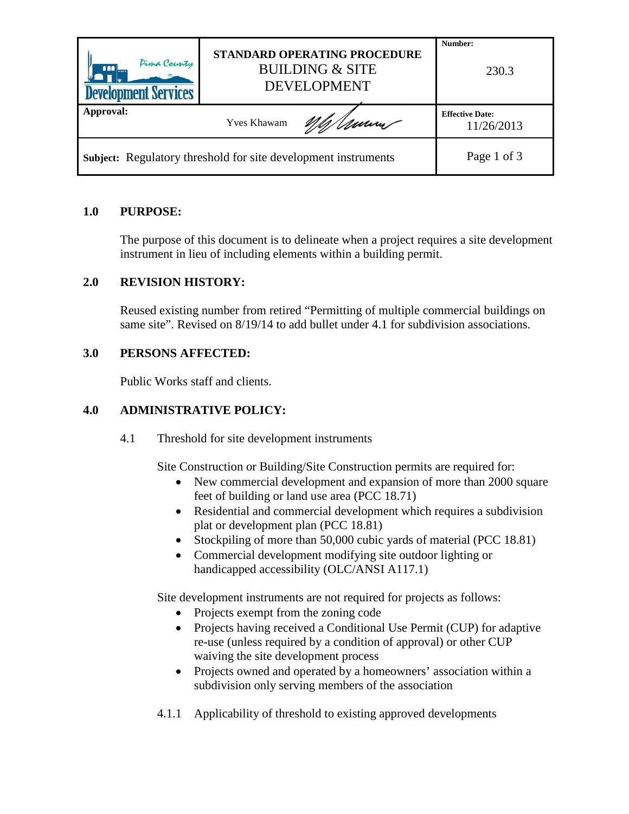| Pima County<br><u>nn</u><br><b>Development Services</b>               | STANDARD OPERATING PROCEDURE<br><b>BUILDING &amp; SITE</b><br><b>DEVELOPMENT</b> | Number:<br>230.3                            |
|-----------------------------------------------------------------------|----------------------------------------------------------------------------------|---------------------------------------------|
| Approval:                                                             | <b>Yves Khawam</b>                                                               | <b>Effective Date:</b><br>Umm<br>11/26/2013 |
| <b>Subject:</b> Regulatory threshold for site development instruments |                                                                                  |                                             |

# **1.0 PURPOSE:**

The purpose of this document is to delineate when a project requires a site development instrument in lieu of including elements within a building permit.

# **2.0 REVISION HISTORY:**

Reused existing number from retired "Permitting of multiple commercial buildings on same site". Revised on 8/19/14 to add bullet under 4.1 for subdivision associations.

## **3.0 PERSONS AFFECTED:**

Public Works staff and clients.

# **4.0 ADMINISTRATIVE POLICY:**

4.1 Threshold for site development instruments

Site Construction or Building/Site Construction permits are required for:

- New commercial development and expansion of more than 2000 square feet of building or land use area (PCC 18.71)
- Residential and commercial development which requires a subdivision plat or development plan (PCC 18.81)
- Stockpiling of more than 50,000 cubic yards of material (PCC 18.81)
- Commercial development modifying site outdoor lighting or handicapped accessibility (OLC/ANSI A117.1)

Site development instruments are not required for projects as follows:

- Projects exempt from the zoning code
- Projects having received a Conditional Use Permit (CUP) for adaptive re-use (unless required by a condition of approval) or other CUP waiving the site development process
- Projects owned and operated by a homeowners' association within a subdivision only serving members of the association
- 4.1.1 Applicability of threshold to existing approved developments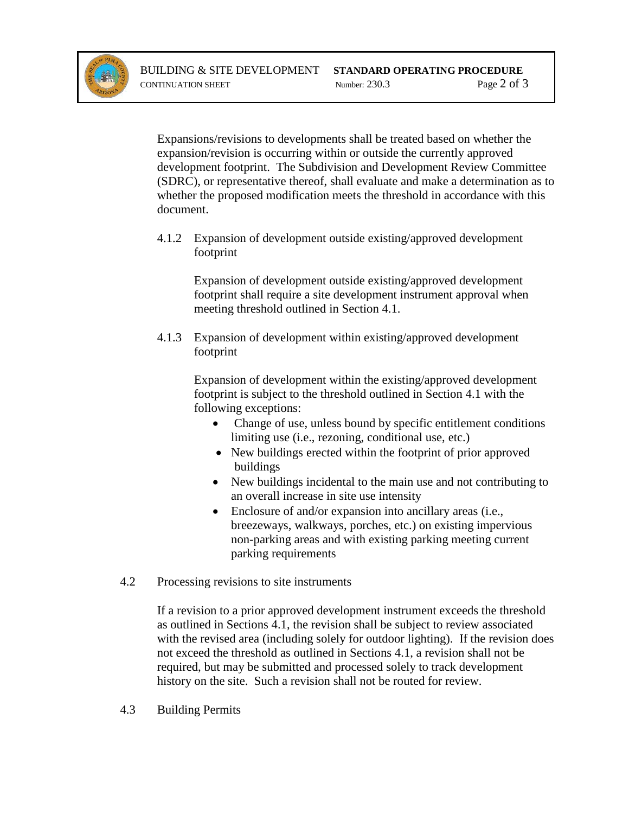

Expansions/revisions to developments shall be treated based on whether the expansion/revision is occurring within or outside the currently approved development footprint. The Subdivision and Development Review Committee (SDRC), or representative thereof, shall evaluate and make a determination as to whether the proposed modification meets the threshold in accordance with this document.

4.1.2 Expansion of development outside existing/approved development footprint

Expansion of development outside existing/approved development footprint shall require a site development instrument approval when meeting threshold outlined in Section 4.1.

4.1.3 Expansion of development within existing/approved development footprint

> Expansion of development within the existing/approved development footprint is subject to the threshold outlined in Section 4.1 with the following exceptions:

- Change of use, unless bound by specific entitlement conditions limiting use (i.e., rezoning, conditional use, etc.)
- New buildings erected within the footprint of prior approved buildings
- New buildings incidental to the main use and not contributing to an overall increase in site use intensity
- Enclosure of and/or expansion into ancillary areas (i.e., breezeways, walkways, porches, etc.) on existing impervious non-parking areas and with existing parking meeting current parking requirements
- 4.2 Processing revisions to site instruments

If a revision to a prior approved development instrument exceeds the threshold as outlined in Sections 4.1, the revision shall be subject to review associated with the revised area (including solely for outdoor lighting). If the revision does not exceed the threshold as outlined in Sections 4.1, a revision shall not be required, but may be submitted and processed solely to track development history on the site. Such a revision shall not be routed for review.

4.3 Building Permits